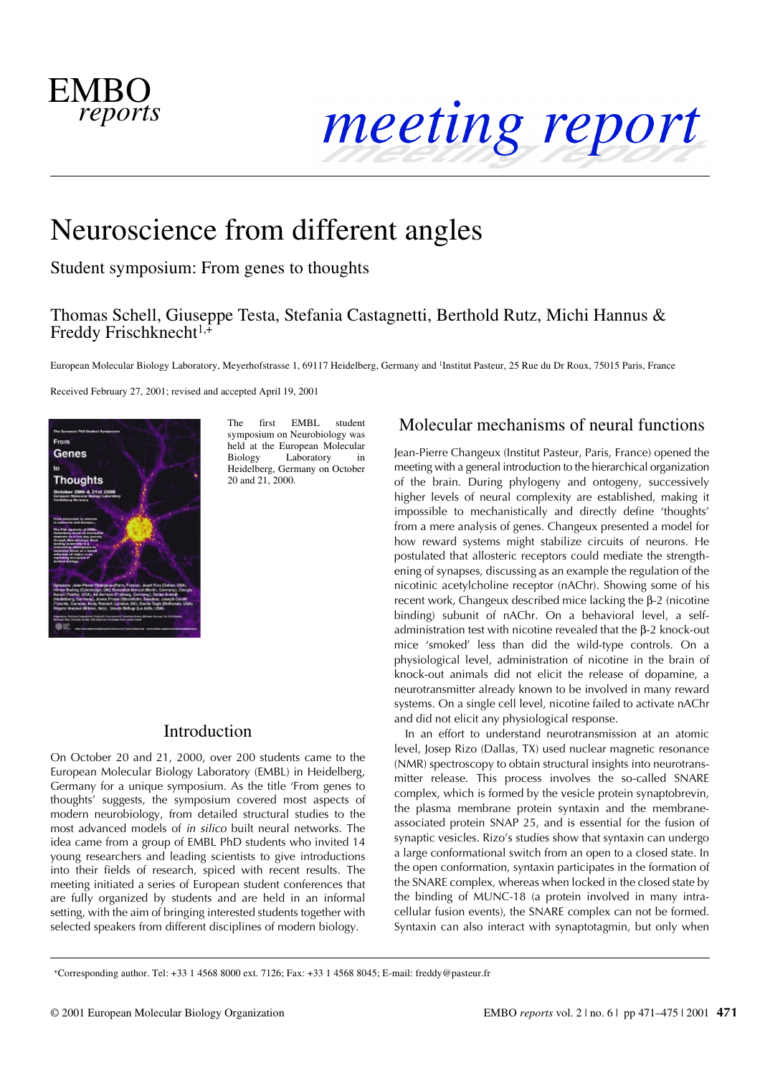

# Neuroscience from different angles

Student symposium: From genes to thoughts

### Thomas Schell, Giuseppe Testa, Stefania Castagnetti, Berthold Rutz, Michi Hannus & Freddy Frischknecht<sup>1, $+$ </sup>

European Molecular Biology Laboratory, Meyerhofstrasse 1, 69117 Heidelberg, Germany and <sup>1</sup>Institut Pasteur, 25 Rue du Dr Roux, 75015 Paris, France

Received February 27, 2001; revised and accepted April 19, 2001



The first EMBL student symposium on Neurobiology was held at the European Molecular Biology Laboratory in Heidelberg, Germany on October 20 and 21, 2000.

### Introduction

On October 20 and 21, 2000, over 200 students came to the European Molecular Biology Laboratory (EMBL) in Heidelberg, Germany for a unique symposium. As the title 'From genes to thoughts' suggests, the symposium covered most aspects of modern neurobiology, from detailed structural studies to the most advanced models of *in silico* built neural networks. The idea came from a group of EMBL PhD students who invited 14 young researchers and leading scientists to give introductions into their fields of research, spiced with recent results. The meeting initiated a series of European student conferences that are fully organized by students and are held in an informal setting, with the aim of bringing interested students together with selected speakers from different disciplines of modern biology.

### Molecular mechanisms of neural functions

Jean-Pierre Changeux (Institut Pasteur, Paris, France) opened the meeting with a general introduction to the hierarchical organization of the brain. During phylogeny and ontogeny, successively higher levels of neural complexity are established, making it impossible to mechanistically and directly define 'thoughts' from a mere analysis of genes. Changeux presented a model for how reward systems might stabilize circuits of neurons. He postulated that allosteric receptors could mediate the strengthening of synapses, discussing as an example the regulation of the nicotinic acetylcholine receptor (nAChr). Showing some of his recent work, Changeux described mice lacking the β-2 (nicotine binding) subunit of nAChr. On a behavioral level, a selfadministration test with nicotine revealed that the β-2 knock-out mice 'smoked' less than did the wild-type controls. On a physiological level, administration of nicotine in the brain of knock-out animals did not elicit the release of dopamine, a neurotransmitter already known to be involved in many reward systems. On a single cell level, nicotine failed to activate nAChr and did not elicit any physiological response.

In an effort to understand neurotransmission at an atomic level, Josep Rizo (Dallas, TX) used nuclear magnetic resonance (NMR) spectroscopy to obtain structural insights into neurotransmitter release. This process involves the so-called SNARE complex, which is formed by the vesicle protein synaptobrevin, the plasma membrane protein syntaxin and the membraneassociated protein SNAP 25, and is essential for the fusion of synaptic vesicles. Rizo's studies show that syntaxin can undergo a large conformational switch from an open to a closed state. In the open conformation, syntaxin participates in the formation of the SNARE complex, whereas when locked in the closed state by the binding of MUNC-18 (a protein involved in many intracellular fusion events), the SNARE complex can not be formed. Syntaxin can also interact with synaptotagmin, but only when

+Corresponding author. Tel: +33 1 4568 8000 ext. 7126; Fax: +33 1 4568 8045; E-mail: freddy@pasteur.fr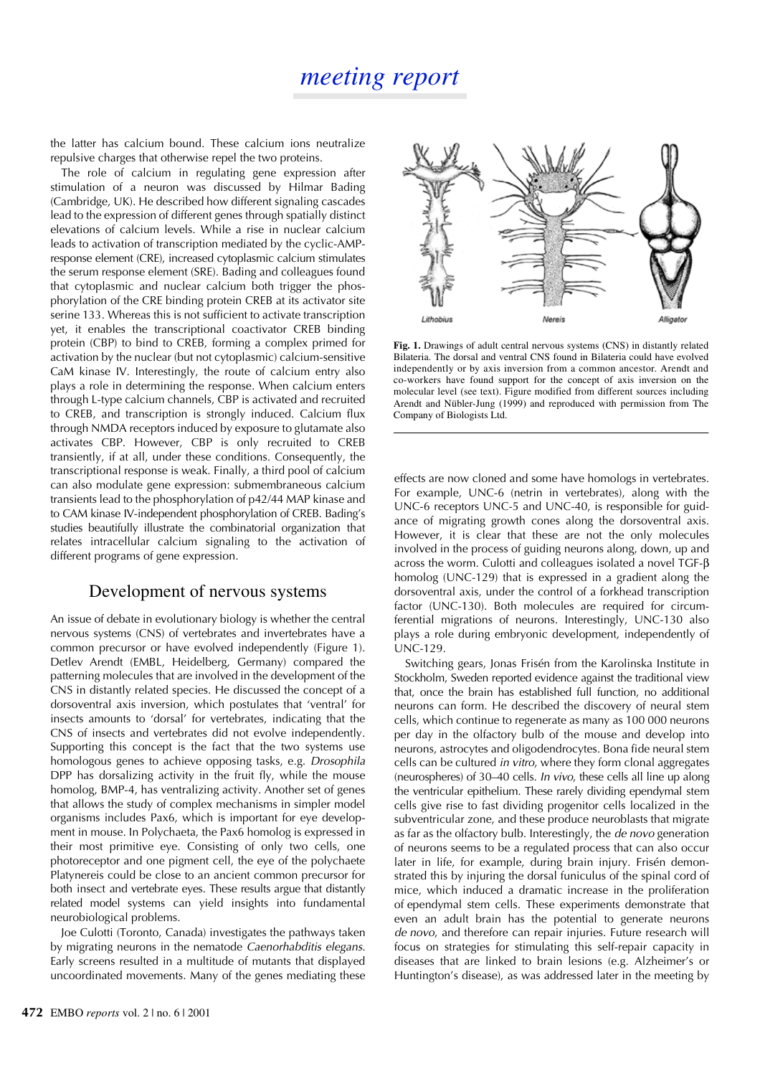the latter has calcium bound. These calcium ions neutralize repulsive charges that otherwise repel the two proteins.

The role of calcium in regulating gene expression after stimulation of a neuron was discussed by Hilmar Bading (Cambridge, UK). He described how different signaling cascades lead to the expression of different genes through spatially distinct elevations of calcium levels. While a rise in nuclear calcium leads to activation of transcription mediated by the cyclic-AMPresponse element (CRE), increased cytoplasmic calcium stimulates the serum response element (SRE). Bading and colleagues found that cytoplasmic and nuclear calcium both trigger the phosphorylation of the CRE binding protein CREB at its activator site serine 133. Whereas this is not sufficient to activate transcription yet, it enables the transcriptional coactivator CREB binding protein (CBP) to bind to CREB, forming a complex primed for activation by the nuclear (but not cytoplasmic) calcium-sensitive CaM kinase IV. Interestingly, the route of calcium entry also plays a role in determining the response. When calcium enters through L-type calcium channels, CBP is activated and recruited to CREB, and transcription is strongly induced. Calcium flux through NMDA receptors induced by exposure to glutamate also activates CBP. However, CBP is only recruited to CREB transiently, if at all, under these conditions. Consequently, the transcriptional response is weak. Finally, a third pool of calcium can also modulate gene expression: submembraneous calcium transients lead to the phosphorylation of p42/44 MAP kinase and to CAM kinase IV-independent phosphorylation of CREB. Bading's studies beautifully illustrate the combinatorial organization that relates intracellular calcium signaling to the activation of different programs of gene expression.

#### Development of nervous systems

An issue of debate in evolutionary biology is whether the central nervous systems (CNS) of vertebrates and invertebrates have a common precursor or have evolved independently (Figure 1). Detlev Arendt (EMBL, Heidelberg, Germany) compared the patterning molecules that are involved in the development of the CNS in distantly related species. He discussed the concept of a dorsoventral axis inversion, which postulates that 'ventral' for insects amounts to 'dorsal' for vertebrates, indicating that the CNS of insects and vertebrates did not evolve independently. Supporting this concept is the fact that the two systems use homologous genes to achieve opposing tasks, e.g. *Drosophila* DPP has dorsalizing activity in the fruit fly, while the mouse homolog, BMP-4, has ventralizing activity. Another set of genes that allows the study of complex mechanisms in simpler model organisms includes Pax6, which is important for eye development in mouse. In Polychaeta, the Pax6 homolog is expressed in their most primitive eye. Consisting of only two cells, one photoreceptor and one pigment cell, the eye of the polychaete Platynereis could be close to an ancient common precursor for both insect and vertebrate eyes. These results argue that distantly related model systems can yield insights into fundamental neurobiological problems.

Joe Culotti (Toronto, Canada) investigates the pathways taken by migrating neurons in the nematode *Caenorhabditis elegans*. Early screens resulted in a multitude of mutants that displayed uncoordinated movements. Many of the genes mediating these



**Fig. 1.** Drawings of adult central nervous systems (CNS) in distantly related Bilateria. The dorsal and ventral CNS found in Bilateria could have evolved independently or by axis inversion from a common ancestor. Arendt and co-workers have found support for the concept of axis inversion on the molecular level (see text). Figure modified from different sources including Arendt and Nübler-Jung (1999) and reproduced with permission from The Company of Biologists Ltd.

effects are now cloned and some have homologs in vertebrates. For example, UNC-6 (netrin in vertebrates), along with the UNC-6 receptors UNC-5 and UNC-40, is responsible for guidance of migrating growth cones along the dorsoventral axis. However, it is clear that these are not the only molecules involved in the process of guiding neurons along, down, up and across the worm. Culotti and colleagues isolated a novel TGF-β homolog (UNC-129) that is expressed in a gradient along the dorsoventral axis, under the control of a forkhead transcription factor (UNC-130). Both molecules are required for circumferential migrations of neurons. Interestingly, UNC-130 also plays a role during embryonic development, independently of UNC-129.

Switching gears, Jonas Frisén from the Karolinska Institute in Stockholm, Sweden reported evidence against the traditional view that, once the brain has established full function, no additional neurons can form. He described the discovery of neural stem cells, which continue to regenerate as many as 100 000 neurons per day in the olfactory bulb of the mouse and develop into neurons, astrocytes and oligodendrocytes. Bona fide neural stem cells can be cultured *in vitro*, where they form clonal aggregates (neurospheres) of 30–40 cells. *In vivo*, these cells all line up along the ventricular epithelium. These rarely dividing ependymal stem cells give rise to fast dividing progenitor cells localized in the subventricular zone, and these produce neuroblasts that migrate as far as the olfactory bulb. Interestingly, the *de novo* generation of neurons seems to be a regulated process that can also occur later in life, for example, during brain injury. Frisén demonstrated this by injuring the dorsal funiculus of the spinal cord of mice, which induced a dramatic increase in the proliferation of ependymal stem cells. These experiments demonstrate that even an adult brain has the potential to generate neurons *de novo*, and therefore can repair injuries. Future research will focus on strategies for stimulating this self-repair capacity in diseases that are linked to brain lesions (e.g. Alzheimer's or Huntington's disease), as was addressed later in the meeting by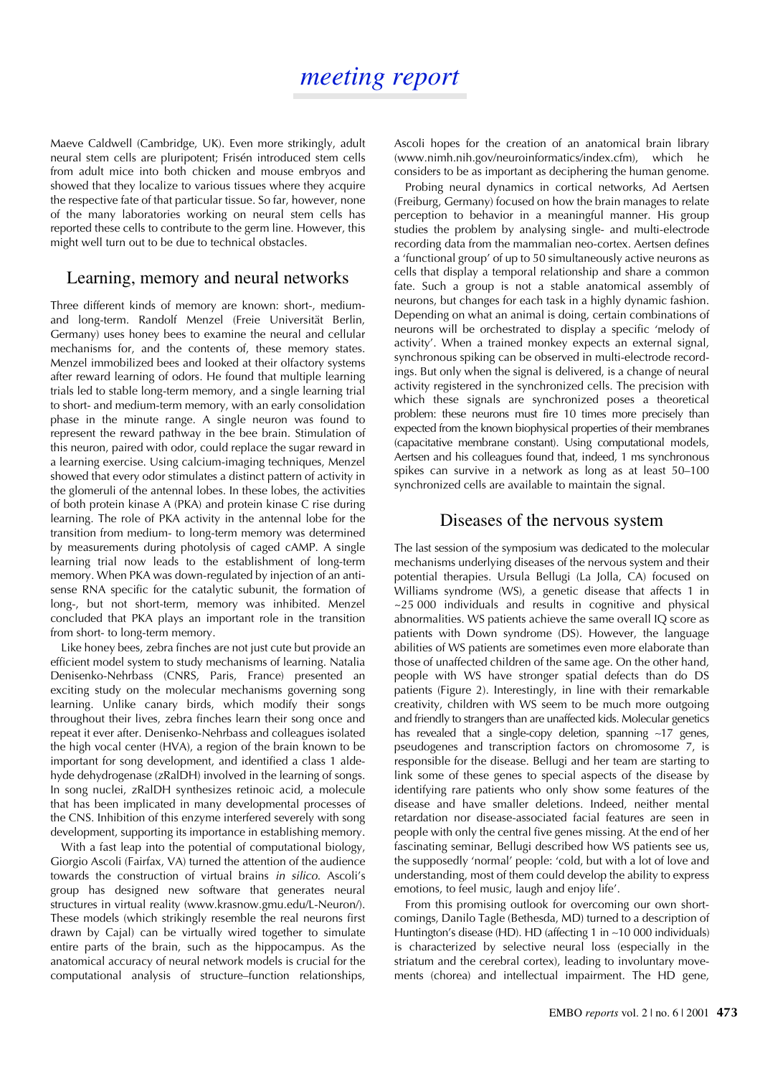Maeve Caldwell (Cambridge, UK). Even more strikingly, adult neural stem cells are pluripotent; Frisén introduced stem cells from adult mice into both chicken and mouse embryos and showed that they localize to various tissues where they acquire the respective fate of that particular tissue. So far, however, none of the many laboratories working on neural stem cells has reported these cells to contribute to the germ line. However, this might well turn out to be due to technical obstacles.

#### Learning, memory and neural networks

Three different kinds of memory are known: short-, mediumand long-term. Randolf Menzel (Freie Universität Berlin, Germany) uses honey bees to examine the neural and cellular mechanisms for, and the contents of, these memory states. Menzel immobilized bees and looked at their olfactory systems after reward learning of odors. He found that multiple learning trials led to stable long-term memory, and a single learning trial to short- and medium-term memory, with an early consolidation phase in the minute range. A single neuron was found to represent the reward pathway in the bee brain. Stimulation of this neuron, paired with odor, could replace the sugar reward in a learning exercise. Using calcium-imaging techniques, Menzel showed that every odor stimulates a distinct pattern of activity in the glomeruli of the antennal lobes. In these lobes, the activities of both protein kinase A (PKA) and protein kinase C rise during learning. The role of PKA activity in the antennal lobe for the transition from medium- to long-term memory was determined by measurements during photolysis of caged cAMP. A single learning trial now leads to the establishment of long-term memory. When PKA was down-regulated by injection of an antisense RNA specific for the catalytic subunit, the formation of long-, but not short-term, memory was inhibited. Menzel concluded that PKA plays an important role in the transition from short- to long-term memory.

Like honey bees, zebra finches are not just cute but provide an efficient model system to study mechanisms of learning. Natalia Denisenko-Nehrbass (CNRS, Paris, France) presented an exciting study on the molecular mechanisms governing song learning. Unlike canary birds, which modify their songs throughout their lives, zebra finches learn their song once and repeat it ever after. Denisenko-Nehrbass and colleagues isolated the high vocal center (HVA), a region of the brain known to be important for song development, and identified a class 1 aldehyde dehydrogenase (zRalDH) involved in the learning of songs. In song nuclei, zRalDH synthesizes retinoic acid, a molecule that has been implicated in many developmental processes of the CNS. Inhibition of this enzyme interfered severely with song development, supporting its importance in establishing memory.

With a fast leap into the potential of computational biology, Giorgio Ascoli (Fairfax, VA) turned the attention of the audience towards the construction of virtual brains *in silico*. Ascoli's group has designed new software that generates neural structures in virtual reality (www.krasnow.gmu.edu/L-Neuron/). These models (which strikingly resemble the real neurons first drawn by Cajal) can be virtually wired together to simulate entire parts of the brain, such as the hippocampus. As the anatomical accuracy of neural network models is crucial for the computational analysis of structure–function relationships, Ascoli hopes for the creation of an anatomical brain library (www.nimh.nih.gov/neuroinformatics/index.cfm), which he considers to be as important as deciphering the human genome.

Probing neural dynamics in cortical networks, Ad Aertsen (Freiburg, Germany) focused on how the brain manages to relate perception to behavior in a meaningful manner. His group studies the problem by analysing single- and multi-electrode recording data from the mammalian neo-cortex. Aertsen defines a 'functional group' of up to 50 simultaneously active neurons as cells that display a temporal relationship and share a common fate. Such a group is not a stable anatomical assembly of neurons, but changes for each task in a highly dynamic fashion. Depending on what an animal is doing, certain combinations of neurons will be orchestrated to display a specific 'melody of activity'. When a trained monkey expects an external signal, synchronous spiking can be observed in multi-electrode recordings. But only when the signal is delivered, is a change of neural activity registered in the synchronized cells. The precision with which these signals are synchronized poses a theoretical problem: these neurons must fire 10 times more precisely than expected from the known biophysical properties of their membranes (capacitative membrane constant). Using computational models, Aertsen and his colleagues found that, indeed, 1 ms synchronous spikes can survive in a network as long as at least 50–100 synchronized cells are available to maintain the signal.

#### Diseases of the nervous system

The last session of the symposium was dedicated to the molecular mechanisms underlying diseases of the nervous system and their potential therapies. Ursula Bellugi (La Jolla, CA) focused on Williams syndrome (WS), a genetic disease that affects 1 in ~25 000 individuals and results in cognitive and physical abnormalities. WS patients achieve the same overall IQ score as patients with Down syndrome (DS). However, the language abilities of WS patients are sometimes even more elaborate than those of unaffected children of the same age. On the other hand, people with WS have stronger spatial defects than do DS patients (Figure 2). Interestingly, in line with their remarkable creativity, children with WS seem to be much more outgoing and friendly to strangers than are unaffected kids. Molecular genetics has revealed that a single-copy deletion, spanning ∼17 genes, pseudogenes and transcription factors on chromosome 7, is responsible for the disease. Bellugi and her team are starting to link some of these genes to special aspects of the disease by identifying rare patients who only show some features of the disease and have smaller deletions. Indeed, neither mental retardation nor disease-associated facial features are seen in people with only the central five genes missing. At the end of her fascinating seminar, Bellugi described how WS patients see us, the supposedly 'normal' people: 'cold, but with a lot of love and understanding, most of them could develop the ability to express emotions, to feel music, laugh and enjoy life'.

From this promising outlook for overcoming our own shortcomings, Danilo Tagle (Bethesda, MD) turned to a description of Huntington's disease (HD). HD (affecting 1 in ∼10 000 individuals) is characterized by selective neural loss (especially in the striatum and the cerebral cortex), leading to involuntary movements (chorea) and intellectual impairment. The HD gene,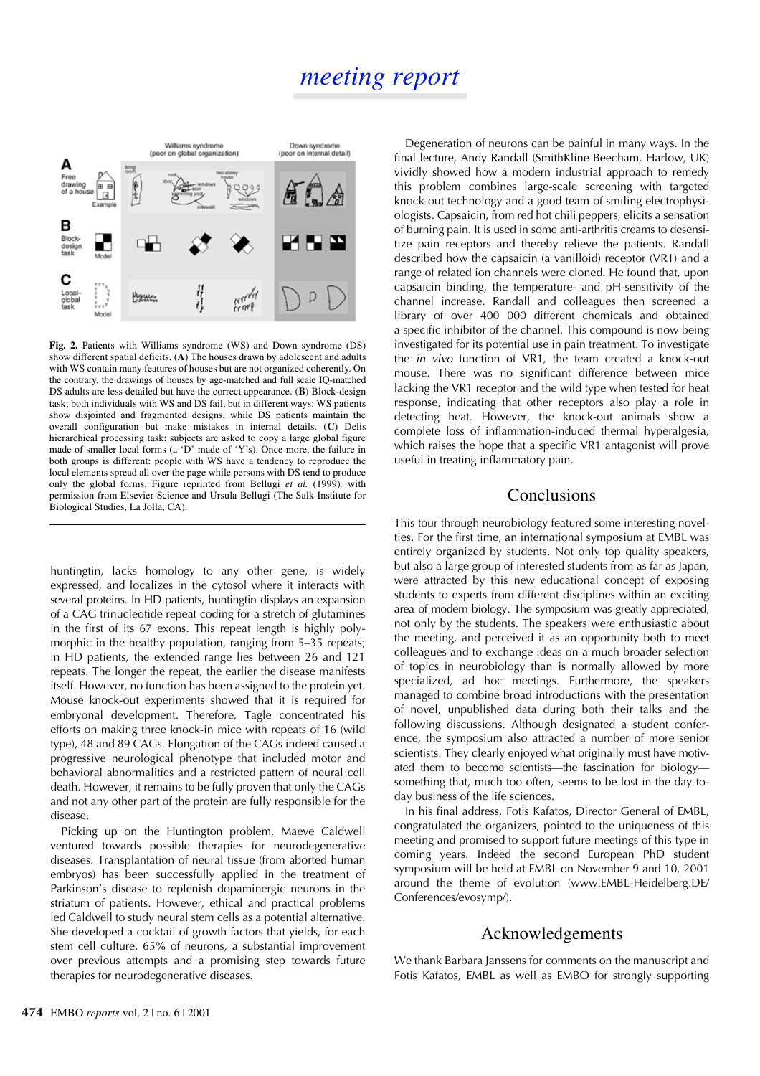

**Fig. 2.** Patients with Williams syndrome (WS) and Down syndrome (DS) show different spatial deficits. (**A**) The houses drawn by adolescent and adults with WS contain many features of houses but are not organized coherently. On the contrary, the drawings of houses by age-matched and full scale IQ-matched DS adults are less detailed but have the correct appearance. (**B**) Block-design task; both individuals with WS and DS fail, but in different ways: WS patients show disjointed and fragmented designs, while DS patients maintain the overall configuration but make mistakes in internal details. (**C**) Delis hierarchical processing task: subjects are asked to copy a large global figure made of smaller local forms (a 'D' made of 'Y's). Once more, the failure in both groups is different: people with WS have a tendency to reproduce the local elements spread all over the page while persons with DS tend to produce only the global forms. Figure reprinted from Bellugi *et al.* (1999)*,* with permission from Elsevier Science and Ursula Bellugi (The Salk Institute for Biological Studies, La Jolla, CA).

huntingtin, lacks homology to any other gene, is widely expressed, and localizes in the cytosol where it interacts with several proteins. In HD patients, huntingtin displays an expansion of a CAG trinucleotide repeat coding for a stretch of glutamines in the first of its 67 exons. This repeat length is highly polymorphic in the healthy population, ranging from 5–35 repeats; in HD patients, the extended range lies between 26 and 121 repeats. The longer the repeat, the earlier the disease manifests itself. However, no function has been assigned to the protein yet. Mouse knock-out experiments showed that it is required for embryonal development. Therefore, Tagle concentrated his efforts on making three knock-in mice with repeats of 16 (wild type), 48 and 89 CAGs. Elongation of the CAGs indeed caused a progressive neurological phenotype that included motor and behavioral abnormalities and a restricted pattern of neural cell death. However, it remains to be fully proven that only the CAGs and not any other part of the protein are fully responsible for the disease.

Picking up on the Huntington problem, Maeve Caldwell ventured towards possible therapies for neurodegenerative diseases. Transplantation of neural tissue (from aborted human embryos) has been successfully applied in the treatment of Parkinson's disease to replenish dopaminergic neurons in the striatum of patients. However, ethical and practical problems led Caldwell to study neural stem cells as a potential alternative. She developed a cocktail of growth factors that yields, for each stem cell culture, 65% of neurons, a substantial improvement over previous attempts and a promising step towards future therapies for neurodegenerative diseases.

Degeneration of neurons can be painful in many ways. In the final lecture, Andy Randall (SmithKline Beecham, Harlow, UK) vividly showed how a modern industrial approach to remedy this problem combines large-scale screening with targeted knock-out technology and a good team of smiling electrophysiologists. Capsaicin, from red hot chili peppers, elicits a sensation of burning pain. It is used in some anti-arthritis creams to desensitize pain receptors and thereby relieve the patients. Randall described how the capsaicin (a vanilloid) receptor (VR1) and a range of related ion channels were cloned. He found that, upon capsaicin binding, the temperature- and pH-sensitivity of the channel increase. Randall and colleagues then screened a library of over 400 000 different chemicals and obtained a specific inhibitor of the channel. This compound is now being investigated for its potential use in pain treatment. To investigate the *in vivo* function of VR1, the team created a knock-out mouse. There was no significant difference between mice lacking the VR1 receptor and the wild type when tested for heat response, indicating that other receptors also play a role in detecting heat. However, the knock-out animals show a complete loss of inflammation-induced thermal hyperalgesia, which raises the hope that a specific VR1 antagonist will prove useful in treating inflammatory pain.

#### Conclusions

This tour through neurobiology featured some interesting novelties. For the first time, an international symposium at EMBL was entirely organized by students. Not only top quality speakers, but also a large group of interested students from as far as Japan, were attracted by this new educational concept of exposing students to experts from different disciplines within an exciting area of modern biology. The symposium was greatly appreciated, not only by the students. The speakers were enthusiastic about the meeting, and perceived it as an opportunity both to meet colleagues and to exchange ideas on a much broader selection of topics in neurobiology than is normally allowed by more specialized, ad hoc meetings. Furthermore, the speakers managed to combine broad introductions with the presentation of novel, unpublished data during both their talks and the following discussions. Although designated a student conference, the symposium also attracted a number of more senior scientists. They clearly enjoyed what originally must have motivated them to become scientists—the fascination for biology something that, much too often, seems to be lost in the day-today business of the life sciences.

In his final address, Fotis Kafatos, Director General of EMBL, congratulated the organizers, pointed to the uniqueness of this meeting and promised to support future meetings of this type in coming years. Indeed the second European PhD student symposium will be held at EMBL on November 9 and 10, 2001 around the theme of evolution (www.EMBL-Heidelberg.DE/ Conferences/evosymp/).

#### Acknowledgements

We thank Barbara Janssens for comments on the manuscript and Fotis Kafatos, EMBL as well as EMBO for strongly supporting